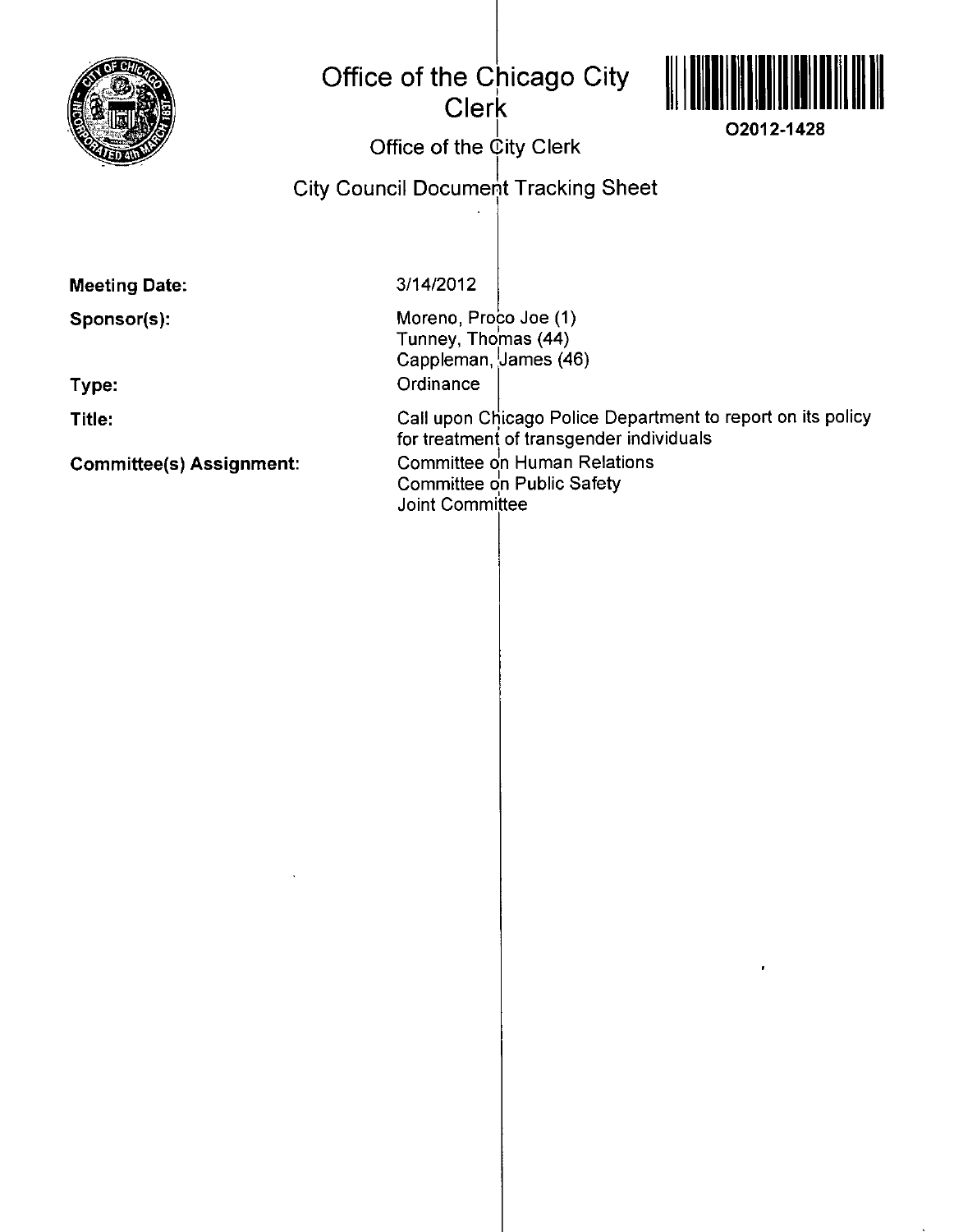

## **Office of the Chicago City Clerk**



**I O2012-1428** 

## **Office of the City Clerk**

**City Council Document Tracking Sheet** 

**Meeting Date:** 

**Sponsor(s):** 

**Type:** 

**Title:** 

**Committee(s) Assignment:** 

3/14/2012

Moreno, Proco Joe (1) Tunney, Thomas (44) Cappleman, James (46) **Ordinance** 

Call upon Chicago Police Department to report on its policy for treatment of transgender individuals Committee on Human Relations Committee on Public Safety Joint Committee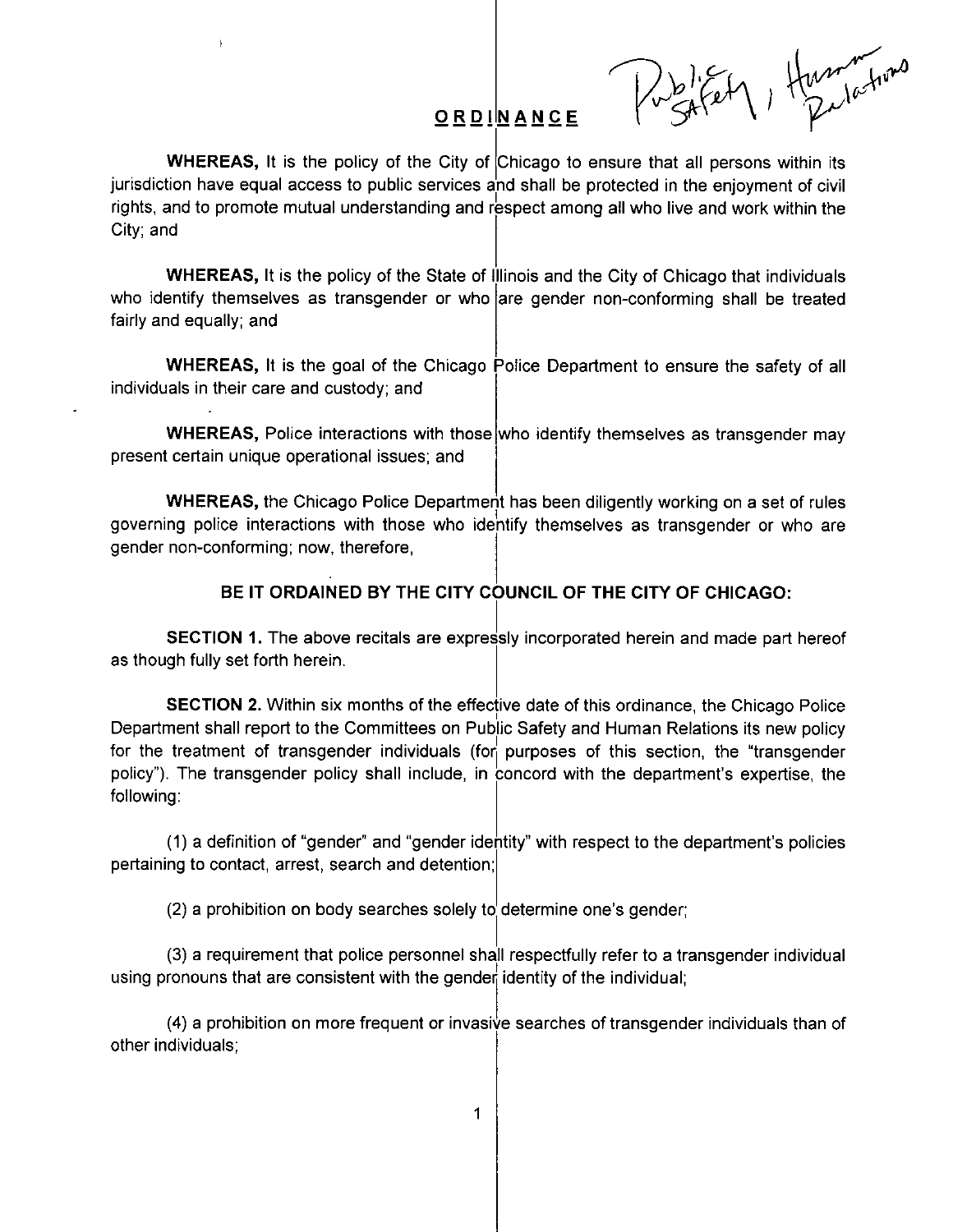ORDINANCE Pushet Hummer

WHEREAS, It is the policy of the City of Chicago to ensure that all persons within its jurisdiction have equal access to public services and shall be protected in the enjoyment of civil rights, and to promote mutual understanding and respect among all who live and work within the City; and

WHEREAS, It is the policy of the State of Illinois and the City of Chicago that individuals who identify themselves as transgender or who arre gender non-conforming shall be treated fairly and equally; and

WHEREAS, It is the goal of the Chicago Police Department to ensure the safety of all individuals in their care and custody; and

WHEREAS, Police interactions with those who identify themselves as transgender may present certain unique operational issues; and

WHEREAS, the Chicago Police Department has been diligently working on a set of rules governing police interactions with those who identify themselves as transgender or who are gender non-conforming; now, therefore,

## **BE IT ORDAINED BY THE CITY COUNCIL OF THE CITY OF CHICAGO:**

SECTION 1. The above recitals are expressly incorporated herein and made part hereof as though fully set forth herein.

SECTION 2. Within six months of the effective date of this ordinance, the Chicago Police Department shall report to the Committees on Public Safety and Human Relations its new policy for the treatment of transgender individuals (for purposes of this section, the "transgender policy"). The transgender policy shall include, in concord with the department's expertise, the following:

(1) a definition of "gender" and "gender idefitity" with respect to the department's policies pertaining to contact, arrest, search and detention;

(2) a prohibition on body searches solely to determine one's gender;

(3) a requirement that police personnel shall respectfully refer to a transgender individual using pronouns that are consistent with the gender identity of the individual;

(4) a prohibition on more frequent or invasiye searches of transgender individuals than of other individuals;